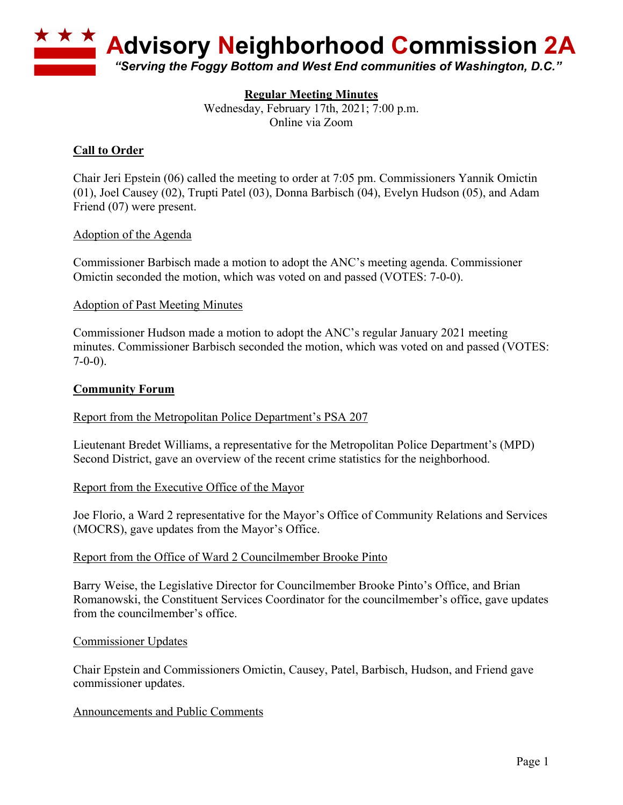

# **Regular Meeting Minutes**

Wednesday, February 17th, 2021; 7:00 p.m. Online via Zoom

# **Call to Order**

Chair Jeri Epstein (06) called the meeting to order at 7:05 pm. Commissioners Yannik Omictin (01), Joel Causey (02), Trupti Patel (03), Donna Barbisch (04), Evelyn Hudson (05), and Adam Friend (07) were present.

#### Adoption of the Agenda

Commissioner Barbisch made a motion to adopt the ANC's meeting agenda. Commissioner Omictin seconded the motion, which was voted on and passed (VOTES: 7-0-0).

#### Adoption of Past Meeting Minutes

Commissioner Hudson made a motion to adopt the ANC's regular January 2021 meeting minutes. Commissioner Barbisch seconded the motion, which was voted on and passed (VOTES:  $7-0-0$ ).

## **Community Forum**

Report from the Metropolitan Police Department's PSA 207

Lieutenant Bredet Williams, a representative for the Metropolitan Police Department's (MPD) Second District, gave an overview of the recent crime statistics for the neighborhood.

#### Report from the Executive Office of the Mayor

Joe Florio, a Ward 2 representative for the Mayor's Office of Community Relations and Services (MOCRS), gave updates from the Mayor's Office.

#### Report from the Office of Ward 2 Councilmember Brooke Pinto

Barry Weise, the Legislative Director for Councilmember Brooke Pinto's Office, and Brian Romanowski, the Constituent Services Coordinator for the councilmember's office, gave updates from the councilmember's office.

#### Commissioner Updates

Chair Epstein and Commissioners Omictin, Causey, Patel, Barbisch, Hudson, and Friend gave commissioner updates.

#### Announcements and Public Comments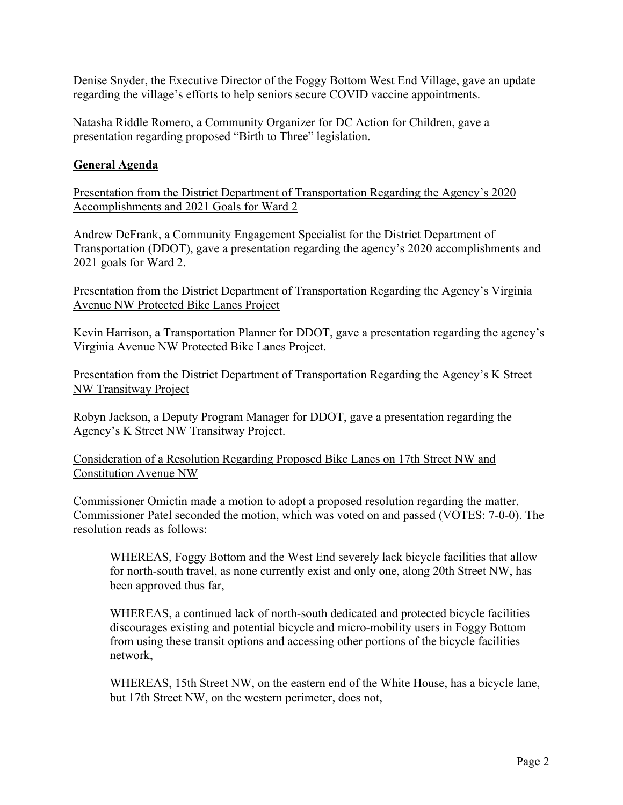Denise Snyder, the Executive Director of the Foggy Bottom West End Village, gave an update regarding the village's efforts to help seniors secure COVID vaccine appointments.

Natasha Riddle Romero, a Community Organizer for DC Action for Children, gave a presentation regarding proposed "Birth to Three" legislation.

## **General Agenda**

Presentation from the District Department of Transportation Regarding the Agency's 2020 Accomplishments and 2021 Goals for Ward 2

Andrew DeFrank, a Community Engagement Specialist for the District Department of Transportation (DDOT), gave a presentation regarding the agency's 2020 accomplishments and 2021 goals for Ward 2.

Presentation from the District Department of Transportation Regarding the Agency's Virginia Avenue NW Protected Bike Lanes Project

Kevin Harrison, a Transportation Planner for DDOT, gave a presentation regarding the agency's Virginia Avenue NW Protected Bike Lanes Project.

Presentation from the District Department of Transportation Regarding the Agency's K Street NW Transitway Project

Robyn Jackson, a Deputy Program Manager for DDOT, gave a presentation regarding the Agency's K Street NW Transitway Project.

Consideration of a Resolution Regarding Proposed Bike Lanes on 17th Street NW and Constitution Avenue NW

Commissioner Omictin made a motion to adopt a proposed resolution regarding the matter. Commissioner Patel seconded the motion, which was voted on and passed (VOTES: 7-0-0). The resolution reads as follows:

WHEREAS, Foggy Bottom and the West End severely lack bicycle facilities that allow for north-south travel, as none currently exist and only one, along 20th Street NW, has been approved thus far,

WHEREAS, a continued lack of north-south dedicated and protected bicycle facilities discourages existing and potential bicycle and micro-mobility users in Foggy Bottom from using these transit options and accessing other portions of the bicycle facilities network,

WHEREAS, 15th Street NW, on the eastern end of the White House, has a bicycle lane, but 17th Street NW, on the western perimeter, does not,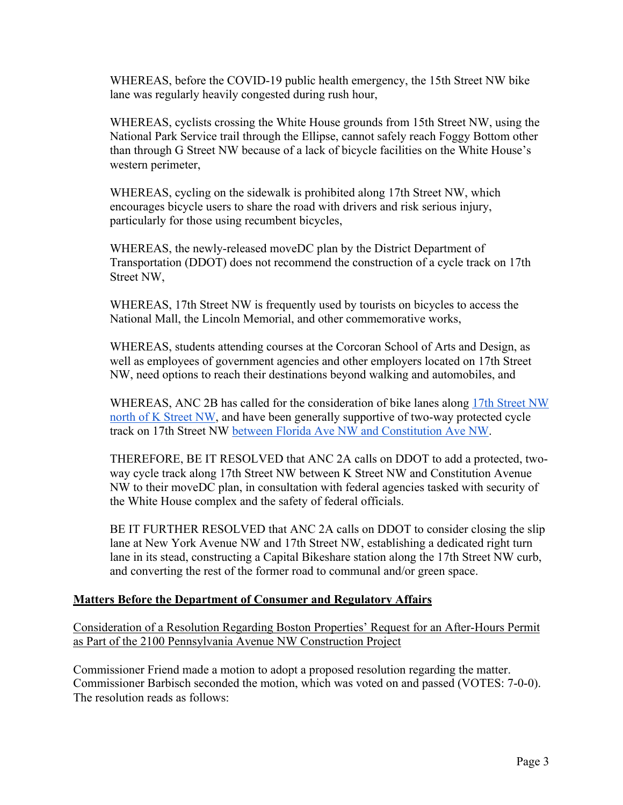WHEREAS, before the COVID-19 public health emergency, the 15th Street NW bike lane was regularly heavily congested during rush hour,

WHEREAS, cyclists crossing the White House grounds from 15th Street NW, using the National Park Service trail through the Ellipse, cannot safely reach Foggy Bottom other than through G Street NW because of a lack of bicycle facilities on the White House's western perimeter,

WHEREAS, cycling on the sidewalk is prohibited along 17th Street NW, which encourages bicycle users to share the road with drivers and risk serious injury, particularly for those using recumbent bicycles,

WHEREAS, the newly-released moveDC plan by the District Department of Transportation (DDOT) does not recommend the construction of a cycle track on 17th Street NW,

WHEREAS, 17th Street NW is frequently used by tourists on bicycles to access the National Mall, the Lincoln Memorial, and other commemorative works,

WHEREAS, students attending courses at the Corcoran School of Arts and Design, as well as employees of government agencies and other employers located on 17th Street NW, need options to reach their destinations beyond walking and automobiles, and

WHEREAS, ANC 2B has called for the consideration of bike lanes along 17th Street NW north of K Street NW, and have been generally supportive of two-way protected cycle track on 17th Street NW between Florida Ave NW and Constitution Ave NW.

THEREFORE, BE IT RESOLVED that ANC 2A calls on DDOT to add a protected, twoway cycle track along 17th Street NW between K Street NW and Constitution Avenue NW to their moveDC plan, in consultation with federal agencies tasked with security of the White House complex and the safety of federal officials.

BE IT FURTHER RESOLVED that ANC 2A calls on DDOT to consider closing the slip lane at New York Avenue NW and 17th Street NW, establishing a dedicated right turn lane in its stead, constructing a Capital Bikeshare station along the 17th Street NW curb, and converting the rest of the former road to communal and/or green space.

# **Matters Before the Department of Consumer and Regulatory Affairs**

Consideration of a Resolution Regarding Boston Properties' Request for an After-Hours Permit as Part of the 2100 Pennsylvania Avenue NW Construction Project

Commissioner Friend made a motion to adopt a proposed resolution regarding the matter. Commissioner Barbisch seconded the motion, which was voted on and passed (VOTES: 7-0-0). The resolution reads as follows: